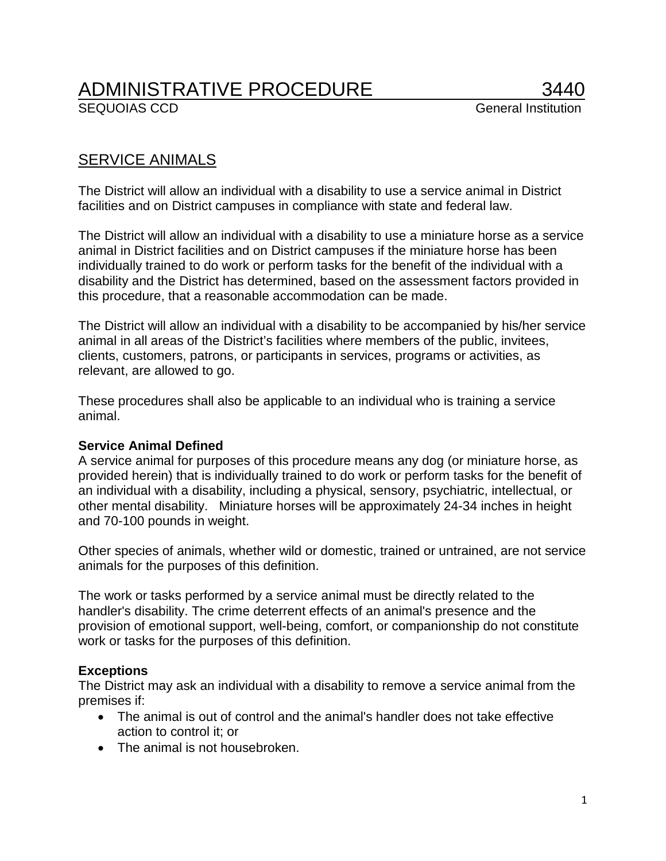# ADMINISTRATIVE PROCEDURE 3440<br>SEQUOIAS CCD General Institution

# SERVICE ANIMALS

The District will allow an individual with a disability to use a service animal in District facilities and on District campuses in compliance with state and federal law.

The District will allow an individual with a disability to use a miniature horse as a service animal in District facilities and on District campuses if the miniature horse has been individually trained to do work or perform tasks for the benefit of the individual with a disability and the District has determined, based on the assessment factors provided in this procedure, that a reasonable accommodation can be made.

The District will allow an individual with a disability to be accompanied by his/her service animal in all areas of the District's facilities where members of the public, invitees, clients, customers, patrons, or participants in services, programs or activities, as relevant, are allowed to go.

These procedures shall also be applicable to an individual who is training a service animal.

## **Service Animal Defined**

A service animal for purposes of this procedure means any dog (or miniature horse, as provided herein) that is individually trained to do work or perform tasks for the benefit of an individual with a disability, including a physical, sensory, psychiatric, intellectual, or other mental disability. Miniature horses will be approximately 24-34 inches in height and 70-100 pounds in weight.

Other species of animals, whether wild or domestic, trained or untrained, are not service animals for the purposes of this definition.

The work or tasks performed by a service animal must be directly related to the handler's disability. The crime deterrent effects of an animal's presence and the provision of emotional support, well-being, comfort, or companionship do not constitute work or tasks for the purposes of this definition.

## **Exceptions**

The District may ask an individual with a disability to remove a service animal from the premises if:

- The animal is out of control and the animal's handler does not take effective action to control it; or
- The animal is not housebroken.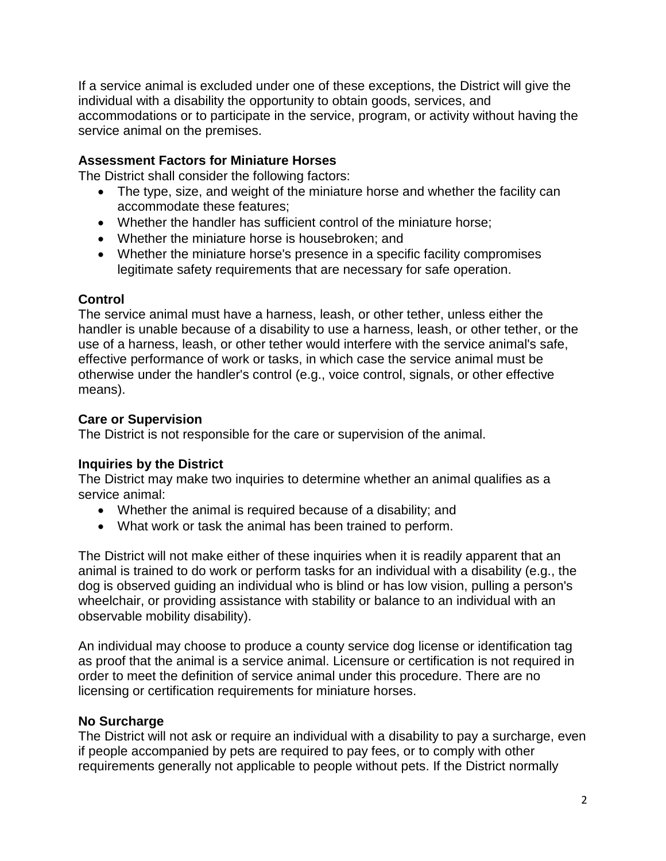If a service animal is excluded under one of these exceptions, the District will give the individual with a disability the opportunity to obtain goods, services, and accommodations or to participate in the service, program, or activity without having the service animal on the premises.

#### **Assessment Factors for Miniature Horses**

The District shall consider the following factors:

- The type, size, and weight of the miniature horse and whether the facility can accommodate these features;
- Whether the handler has sufficient control of the miniature horse;
- Whether the miniature horse is housebroken; and
- Whether the miniature horse's presence in a specific facility compromises legitimate safety requirements that are necessary for safe operation.

#### **Control**

The service animal must have a harness, leash, or other tether, unless either the handler is unable because of a disability to use a harness, leash, or other tether, or the use of a harness, leash, or other tether would interfere with the service animal's safe, effective performance of work or tasks, in which case the service animal must be otherwise under the handler's control (e.g., voice control, signals, or other effective means).

#### **Care or Supervision**

The District is not responsible for the care or supervision of the animal.

## **Inquiries by the District**

The District may make two inquiries to determine whether an animal qualifies as a service animal:

- Whether the animal is required because of a disability; and
- What work or task the animal has been trained to perform.

The District will not make either of these inquiries when it is readily apparent that an animal is trained to do work or perform tasks for an individual with a disability (e.g., the dog is observed guiding an individual who is blind or has low vision, pulling a person's wheelchair, or providing assistance with stability or balance to an individual with an observable mobility disability).

An individual may choose to produce a county service dog license or identification tag as proof that the animal is a service animal. Licensure or certification is not required in order to meet the definition of service animal under this procedure. There are no licensing or certification requirements for miniature horses.

#### **No Surcharge**

The District will not ask or require an individual with a disability to pay a surcharge, even if people accompanied by pets are required to pay fees, or to comply with other requirements generally not applicable to people without pets. If the District normally